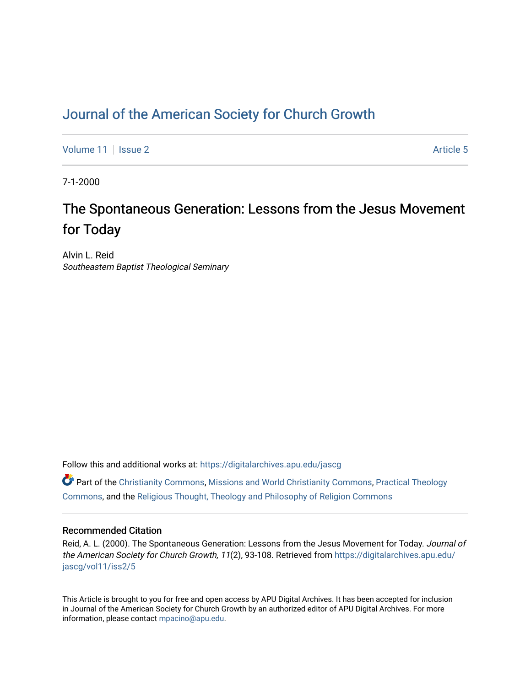## [Journal of the American Society for Church Growth](https://digitalarchives.apu.edu/jascg)

[Volume 11](https://digitalarchives.apu.edu/jascg/vol11) | [Issue 2](https://digitalarchives.apu.edu/jascg/vol11/iss2) Article 5

7-1-2000

# The Spontaneous Generation: Lessons from the Jesus Movement for Today

Alvin L. Reid Southeastern Baptist Theological Seminary

Follow this and additional works at: [https://digitalarchives.apu.edu/jascg](https://digitalarchives.apu.edu/jascg?utm_source=digitalarchives.apu.edu%2Fjascg%2Fvol11%2Fiss2%2F5&utm_medium=PDF&utm_campaign=PDFCoverPages) 

 $\bullet$  Part of the [Christianity Commons,](http://network.bepress.com/hgg/discipline/1181?utm_source=digitalarchives.apu.edu%2Fjascg%2Fvol11%2Fiss2%2F5&utm_medium=PDF&utm_campaign=PDFCoverPages) [Missions and World Christianity Commons](http://network.bepress.com/hgg/discipline/1187?utm_source=digitalarchives.apu.edu%2Fjascg%2Fvol11%2Fiss2%2F5&utm_medium=PDF&utm_campaign=PDFCoverPages), Practical Theology [Commons](http://network.bepress.com/hgg/discipline/1186?utm_source=digitalarchives.apu.edu%2Fjascg%2Fvol11%2Fiss2%2F5&utm_medium=PDF&utm_campaign=PDFCoverPages), and the [Religious Thought, Theology and Philosophy of Religion Commons](http://network.bepress.com/hgg/discipline/544?utm_source=digitalarchives.apu.edu%2Fjascg%2Fvol11%2Fiss2%2F5&utm_medium=PDF&utm_campaign=PDFCoverPages) 

### Recommended Citation

Reid, A. L. (2000). The Spontaneous Generation: Lessons from the Jesus Movement for Today. Journal of the American Society for Church Growth, 11(2), 93-108. Retrieved from [https://digitalarchives.apu.edu/](https://digitalarchives.apu.edu/jascg/vol11/iss2/5?utm_source=digitalarchives.apu.edu%2Fjascg%2Fvol11%2Fiss2%2F5&utm_medium=PDF&utm_campaign=PDFCoverPages) [jascg/vol11/iss2/5](https://digitalarchives.apu.edu/jascg/vol11/iss2/5?utm_source=digitalarchives.apu.edu%2Fjascg%2Fvol11%2Fiss2%2F5&utm_medium=PDF&utm_campaign=PDFCoverPages)

This Article is brought to you for free and open access by APU Digital Archives. It has been accepted for inclusion in Journal of the American Society for Church Growth by an authorized editor of APU Digital Archives. For more information, please contact [mpacino@apu.edu](mailto:mpacino@apu.edu).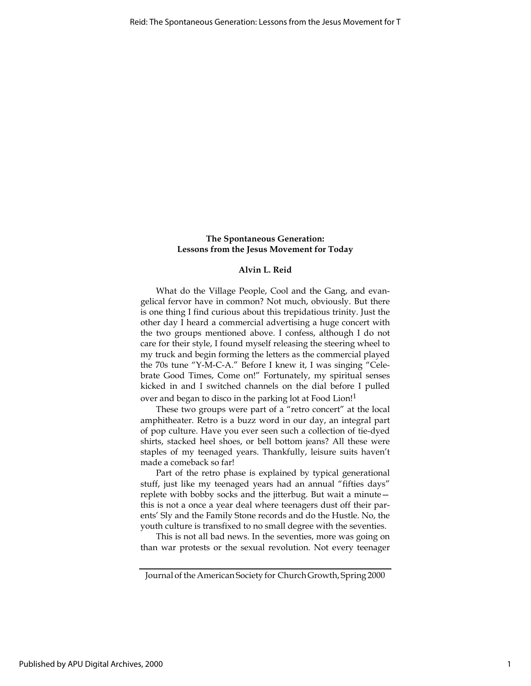#### The Spontaneous Generation: Lessons from the Jesus Movement for Today

#### Alvin L. Reid

What do the Village People, Cool and the Gang, and evangelical fervor have in common? Not much, obviously. But there is one thing I find curious about this trepidatious trinity. Just the other day I heard a commercial advertising a huge concert with the two groups mentioned above. I confess, although I do not care for their style, I found myself releasing the steering wheel to my truck and begin forming the letters as the commercial played the 70s tune "Y-M-C-A." Before I knew it, I was singing "Celebrate Good Times, Come on!" Fortunately, my spiritual senses kicked in and I switched channels on the dial before I pulled over and began to disco in the parking lot at Food Lion!1

These two groups were part of a "retro concert" at the local amphitheater. Retro is a buzz word in our day, an integral part of pop culture. Have you ever seen such a collection of tie-dyed shirts, stacked heel shoes, or bell bottom jeans? All these were staples of my teenaged years. Thankfully, leisure suits haven't made a comeback so far!

Part of the retro phase is explained by typical generational stuff, just like my teenaged years had an annual "fifties days" replete with bobby socks and the jitterbug. But wait a minute this is not a once a year deal where teenagers dust off their parents' Sly and the Family Stone records and do the Hustle. No, the youth culture is transfixed to no small degree with the seventies.

This is not all bad news. In the seventies, more was going on than war protests or the sexual revolution. Not every teenager

Journal of the American Society for Church Growth, Spring 2000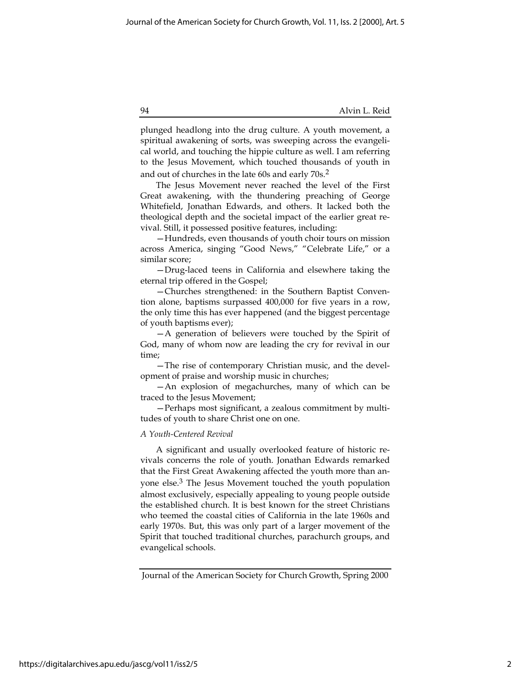plunged headlong into the drug culture. A youth movement, a spiritual awakening of sorts, was sweeping across the evangelical world, and touching the hippie culture as well. I am referring to the Jesus Movement, which touched thousands of youth in and out of churches in the late 60s and early 70s.2

The Jesus Movement never reached the level of the First Great awakening, with the thundering preaching of George Whitefield, Jonathan Edwards, and others. It lacked both the theological depth and the societal impact of the earlier great revival. Still, it possessed positive features, including:

—Hundreds, even thousands of youth choir tours on mission across America, singing "Good News," "Celebrate Life," or a similar score;

—Drug-laced teens in California and elsewhere taking the eternal trip offered in the Gospel;

—Churches strengthened: in the Southern Baptist Convention alone, baptisms surpassed 400,000 for five years in a row, the only time this has ever happened (and the biggest percentage of youth baptisms ever);

—A generation of believers were touched by the Spirit of God, many of whom now are leading the cry for revival in our time;

—The rise of contemporary Christian music, and the development of praise and worship music in churches;

—An explosion of megachurches, many of which can be traced to the Jesus Movement;

—Perhaps most significant, a zealous commitment by multitudes of youth to share Christ one on one.

#### A Youth-Centered Revival

A significant and usually overlooked feature of historic revivals concerns the role of youth. Jonathan Edwards remarked that the First Great Awakening affected the youth more than anyone else.3 The Jesus Movement touched the youth population almost exclusively, especially appealing to young people outside the established church. It is best known for the street Christians who teemed the coastal cities of California in the late 1960s and early 1970s. But, this was only part of a larger movement of the Spirit that touched traditional churches, parachurch groups, and evangelical schools.

Journal of the American Society for Church Growth, Spring 2000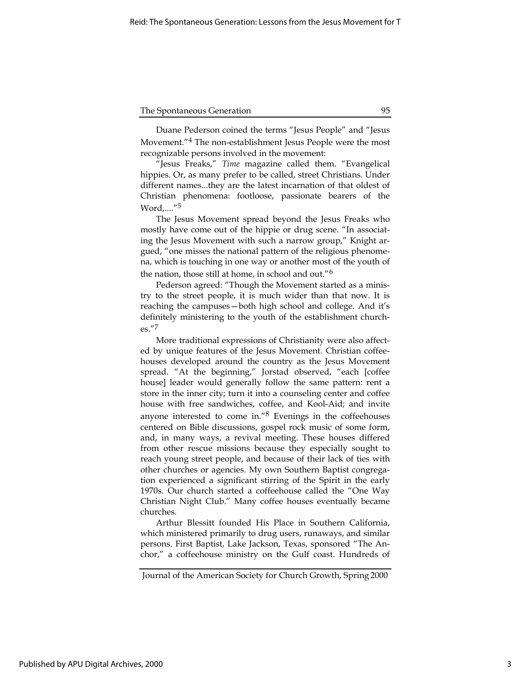Duane Pederson coined the terms "Jesus People" and "Jesus Movement."4 The non-establishment Jesus People were the most recognizable persons involved in the movement:

"Jesus Freaks," Time magazine called them. "Evangelical hippies. Or, as many prefer to be called, street Christians. Under different names...they are the latest incarnation of that oldest of Christian phenomena: footloose, passionate bearers of the Word,...."5

The Jesus Movement spread beyond the Jesus Freaks who mostly have come out of the hippie or drug scene. "In associating the Jesus Movement with such a narrow group," Knight argued, "one misses the national pattern of the religious phenomena, which is touching in one way or another most of the youth of the nation, those still at home, in school and out."6

Pederson agreed: "Though the Movement started as a ministry to the street people, it is much wider than that now. It is reaching the campuses—both high school and college. And it's definitely ministering to the youth of the establishment churches."7

More traditional expressions of Christianity were also affected by unique features of the Jesus Movement. Christian coffeehouses developed around the country as the Jesus Movement spread. "At the beginning," Jorstad observed, "each [coffee house] leader would generally follow the same pattern: rent a store in the inner city; turn it into a counseling center and coffee house with free sandwiches, coffee, and Kool-Aid; and invite anyone interested to come in."8 Evenings in the coffeehouses centered on Bible discussions, gospel rock music of some form, and, in many ways, a revival meeting. These houses differed from other rescue missions because they especially sought to reach young street people, and because of their lack of ties with other churches or agencies. My own Southern Baptist congregation experienced a significant stirring of the Spirit in the early 1970s. Our church started a coffeehouse called the "One Way Christian Night Club." Many coffee houses eventually became churches.

Arthur Blessitt founded His Place in Southern California, which ministered primarily to drug users, runaways, and similar persons. First Baptist, Lake Jackson, Texas, sponsored "The Anchor," a coffeehouse ministry on the Gulf coast. Hundreds of

Journal of the American Society for Church Growth, Spring 2000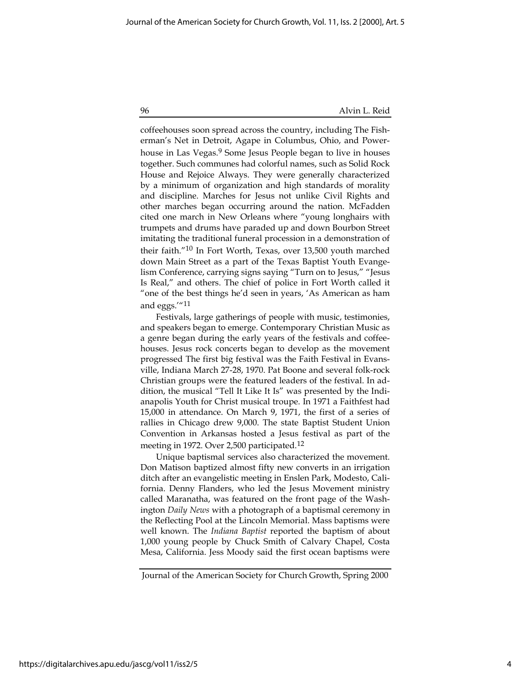coffeehouses soon spread across the country, including The Fisherman's Net in Detroit, Agape in Columbus, Ohio, and Powerhouse in Las Vegas.<sup>9</sup> Some Jesus People began to live in houses together. Such communes had colorful names, such as Solid Rock House and Rejoice Always. They were generally characterized by a minimum of organization and high standards of morality and discipline. Marches for Jesus not unlike Civil Rights and other marches began occurring around the nation. McFadden cited one march in New Orleans where "young longhairs with trumpets and drums have paraded up and down Bourbon Street imitating the traditional funeral procession in a demonstration of their faith."10 In Fort Worth, Texas, over 13,500 youth marched down Main Street as a part of the Texas Baptist Youth Evangelism Conference, carrying signs saying "Turn on to Jesus," "Jesus Is Real," and others. The chief of police in Fort Worth called it "one of the best things he'd seen in years, 'As American as ham and eggs.'"11

Festivals, large gatherings of people with music, testimonies, and speakers began to emerge. Contemporary Christian Music as a genre began during the early years of the festivals and coffeehouses. Jesus rock concerts began to develop as the movement progressed The first big festival was the Faith Festival in Evansville, Indiana March 27-28, 1970. Pat Boone and several folk-rock Christian groups were the featured leaders of the festival. In addition, the musical "Tell It Like It Is" was presented by the Indianapolis Youth for Christ musical troupe. In 1971 a Faithfest had 15,000 in attendance. On March 9, 1971, the first of a series of rallies in Chicago drew 9,000. The state Baptist Student Union Convention in Arkansas hosted a Jesus festival as part of the meeting in 1972. Over 2,500 participated.<sup>12</sup>

Unique baptismal services also characterized the movement. Don Matison baptized almost fifty new converts in an irrigation ditch after an evangelistic meeting in Enslen Park, Modesto, California. Denny Flanders, who led the Jesus Movement ministry called Maranatha, was featured on the front page of the Washington Daily News with a photograph of a baptismal ceremony in the Reflecting Pool at the Lincoln Memorial. Mass baptisms were well known. The Indiana Baptist reported the baptism of about 1,000 young people by Chuck Smith of Calvary Chapel, Costa Mesa, California. Jess Moody said the first ocean baptisms were

Journal of the American Society for Church Growth, Spring 2000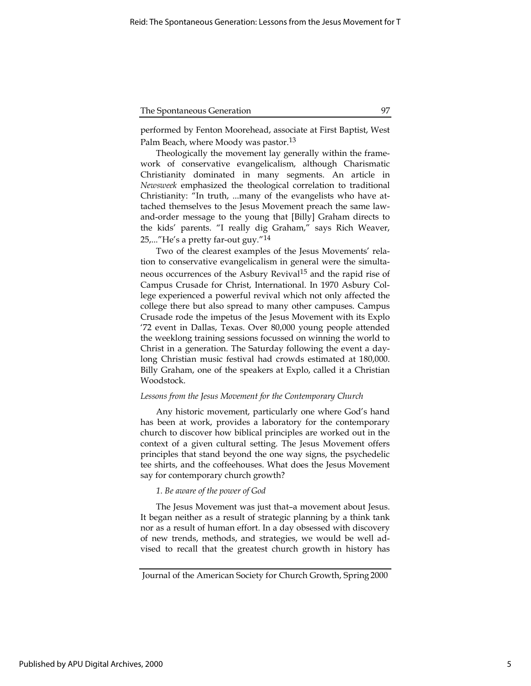performed by Fenton Moorehead, associate at First Baptist, West Palm Beach, where Moody was pastor.<sup>13</sup>

Theologically the movement lay generally within the framework of conservative evangelicalism, although Charismatic Christianity dominated in many segments. An article in Newsweek emphasized the theological correlation to traditional Christianity: "In truth, ...many of the evangelists who have attached themselves to the Jesus Movement preach the same lawand-order message to the young that [Billy] Graham directs to the kids' parents. "I really dig Graham," says Rich Weaver, 25,..."He's a pretty far-out guy."14

Two of the clearest examples of the Jesus Movements' relation to conservative evangelicalism in general were the simultaneous occurrences of the Asbury Revival<sup>15</sup> and the rapid rise of Campus Crusade for Christ, International. In 1970 Asbury College experienced a powerful revival which not only affected the college there but also spread to many other campuses. Campus Crusade rode the impetus of the Jesus Movement with its Explo '72 event in Dallas, Texas. Over 80,000 young people attended the weeklong training sessions focussed on winning the world to Christ in a generation. The Saturday following the event a daylong Christian music festival had crowds estimated at 180,000. Billy Graham, one of the speakers at Explo, called it a Christian Woodstock.

#### Lessons from the Jesus Movement for the Contemporary Church

Any historic movement, particularly one where God's hand has been at work, provides a laboratory for the contemporary church to discover how biblical principles are worked out in the context of a given cultural setting. The Jesus Movement offers principles that stand beyond the one way signs, the psychedelic tee shirts, and the coffeehouses. What does the Jesus Movement say for contemporary church growth?

#### 1. Be aware of the power of God

The Jesus Movement was just that–a movement about Jesus. It began neither as a result of strategic planning by a think tank nor as a result of human effort. In a day obsessed with discovery of new trends, methods, and strategies, we would be well advised to recall that the greatest church growth in history has

Journal of the American Society for Church Growth, Spring 2000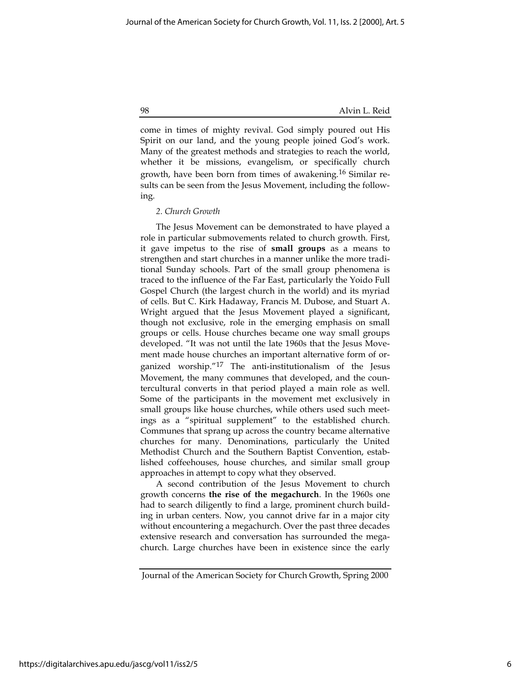come in times of mighty revival. God simply poured out His Spirit on our land, and the young people joined God's work. Many of the greatest methods and strategies to reach the world, whether it be missions, evangelism, or specifically church growth, have been born from times of awakening.16 Similar results can be seen from the Jesus Movement, including the following.

#### 2. Church Growth

The Jesus Movement can be demonstrated to have played a role in particular submovements related to church growth. First, it gave impetus to the rise of small groups as a means to strengthen and start churches in a manner unlike the more traditional Sunday schools. Part of the small group phenomena is traced to the influence of the Far East, particularly the Yoido Full Gospel Church (the largest church in the world) and its myriad of cells. But C. Kirk Hadaway, Francis M. Dubose, and Stuart A. Wright argued that the Jesus Movement played a significant, though not exclusive, role in the emerging emphasis on small groups or cells. House churches became one way small groups developed. "It was not until the late 1960s that the Jesus Movement made house churches an important alternative form of organized worship."17 The anti-institutionalism of the Jesus Movement, the many communes that developed, and the countercultural converts in that period played a main role as well. Some of the participants in the movement met exclusively in small groups like house churches, while others used such meetings as a "spiritual supplement" to the established church. Communes that sprang up across the country became alternative churches for many. Denominations, particularly the United Methodist Church and the Southern Baptist Convention, established coffeehouses, house churches, and similar small group approaches in attempt to copy what they observed.

A second contribution of the Jesus Movement to church growth concerns the rise of the megachurch. In the 1960s one had to search diligently to find a large, prominent church building in urban centers. Now, you cannot drive far in a major city without encountering a megachurch. Over the past three decades extensive research and conversation has surrounded the megachurch. Large churches have been in existence since the early

Journal of the American Society for Church Growth, Spring 2000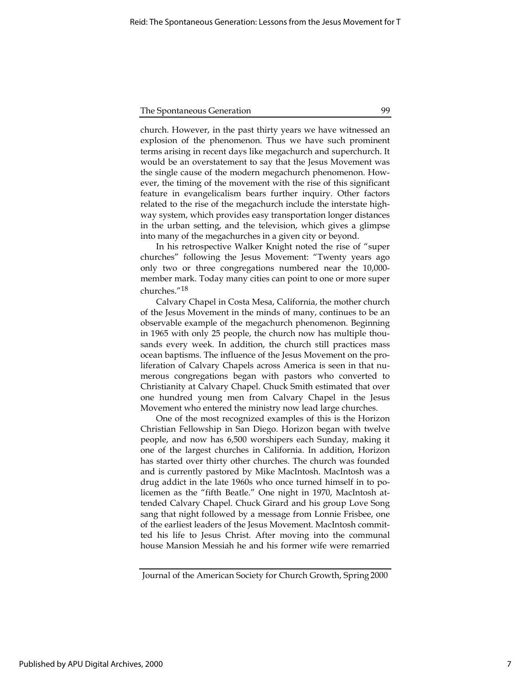church. However, in the past thirty years we have witnessed an explosion of the phenomenon. Thus we have such prominent terms arising in recent days like megachurch and superchurch. It would be an overstatement to say that the Jesus Movement was the single cause of the modern megachurch phenomenon. However, the timing of the movement with the rise of this significant feature in evangelicalism bears further inquiry. Other factors related to the rise of the megachurch include the interstate highway system, which provides easy transportation longer distances in the urban setting, and the television, which gives a glimpse into many of the megachurches in a given city or beyond.

In his retrospective Walker Knight noted the rise of "super churches" following the Jesus Movement: "Twenty years ago only two or three congregations numbered near the 10,000 member mark. Today many cities can point to one or more super churches."18

Calvary Chapel in Costa Mesa, California, the mother church of the Jesus Movement in the minds of many, continues to be an observable example of the megachurch phenomenon. Beginning in 1965 with only 25 people, the church now has multiple thousands every week. In addition, the church still practices mass ocean baptisms. The influence of the Jesus Movement on the proliferation of Calvary Chapels across America is seen in that numerous congregations began with pastors who converted to Christianity at Calvary Chapel. Chuck Smith estimated that over one hundred young men from Calvary Chapel in the Jesus Movement who entered the ministry now lead large churches.

One of the most recognized examples of this is the Horizon Christian Fellowship in San Diego. Horizon began with twelve people, and now has 6,500 worshipers each Sunday, making it one of the largest churches in California. In addition, Horizon has started over thirty other churches. The church was founded and is currently pastored by Mike MacIntosh. MacIntosh was a drug addict in the late 1960s who once turned himself in to policemen as the "fifth Beatle." One night in 1970, MacIntosh attended Calvary Chapel. Chuck Girard and his group Love Song sang that night followed by a message from Lonnie Frisbee, one of the earliest leaders of the Jesus Movement. MacIntosh committed his life to Jesus Christ. After moving into the communal house Mansion Messiah he and his former wife were remarried

Journal of the American Society for Church Growth, Spring 2000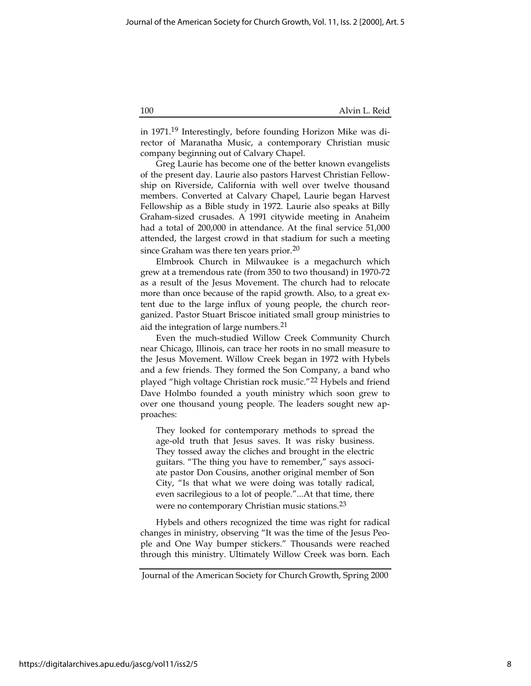in 1971.19 Interestingly, before founding Horizon Mike was director of Maranatha Music, a contemporary Christian music company beginning out of Calvary Chapel.

Greg Laurie has become one of the better known evangelists of the present day. Laurie also pastors Harvest Christian Fellowship on Riverside, California with well over twelve thousand members. Converted at Calvary Chapel, Laurie began Harvest Fellowship as a Bible study in 1972. Laurie also speaks at Billy Graham-sized crusades. A 1991 citywide meeting in Anaheim had a total of 200,000 in attendance. At the final service 51,000 attended, the largest crowd in that stadium for such a meeting since Graham was there ten years prior.<sup>20</sup>

Elmbrook Church in Milwaukee is a megachurch which grew at a tremendous rate (from 350 to two thousand) in 1970-72 as a result of the Jesus Movement. The church had to relocate more than once because of the rapid growth. Also, to a great extent due to the large influx of young people, the church reorganized. Pastor Stuart Briscoe initiated small group ministries to aid the integration of large numbers.<sup>21</sup>

Even the much-studied Willow Creek Community Church near Chicago, Illinois, can trace her roots in no small measure to the Jesus Movement. Willow Creek began in 1972 with Hybels and a few friends. They formed the Son Company, a band who played "high voltage Christian rock music."22 Hybels and friend Dave Holmbo founded a youth ministry which soon grew to over one thousand young people. The leaders sought new approaches:

They looked for contemporary methods to spread the age-old truth that Jesus saves. It was risky business. They tossed away the cliches and brought in the electric guitars. "The thing you have to remember," says associate pastor Don Cousins, another original member of Son City, "Is that what we were doing was totally radical, even sacrilegious to a lot of people."...At that time, there were no contemporary Christian music stations.23

Hybels and others recognized the time was right for radical changes in ministry, observing "It was the time of the Jesus People and One Way bumper stickers." Thousands were reached through this ministry. Ultimately Willow Creek was born. Each

Journal of the American Society for Church Growth, Spring 2000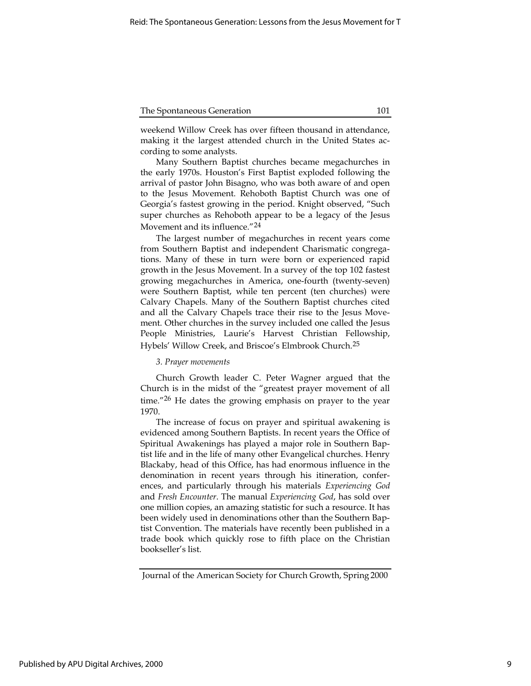weekend Willow Creek has over fifteen thousand in attendance, making it the largest attended church in the United States according to some analysts.

Many Southern Baptist churches became megachurches in the early 1970s. Houston's First Baptist exploded following the arrival of pastor John Bisagno, who was both aware of and open to the Jesus Movement. Rehoboth Baptist Church was one of Georgia's fastest growing in the period. Knight observed, "Such super churches as Rehoboth appear to be a legacy of the Jesus Movement and its influence."<sup>24</sup>

The largest number of megachurches in recent years come from Southern Baptist and independent Charismatic congregations. Many of these in turn were born or experienced rapid growth in the Jesus Movement. In a survey of the top 102 fastest growing megachurches in America, one-fourth (twenty-seven) were Southern Baptist, while ten percent (ten churches) were Calvary Chapels. Many of the Southern Baptist churches cited and all the Calvary Chapels trace their rise to the Jesus Movement. Other churches in the survey included one called the Jesus People Ministries, Laurie's Harvest Christian Fellowship, Hybels' Willow Creek, and Briscoe's Elmbrook Church.25

#### 3. Prayer movements

Church Growth leader C. Peter Wagner argued that the Church is in the midst of the "greatest prayer movement of all time."<sup>26</sup> He dates the growing emphasis on prayer to the year 1970.

The increase of focus on prayer and spiritual awakening is evidenced among Southern Baptists. In recent years the Office of Spiritual Awakenings has played a major role in Southern Baptist life and in the life of many other Evangelical churches. Henry Blackaby, head of this Office, has had enormous influence in the denomination in recent years through his itineration, conferences, and particularly through his materials Experiencing God and Fresh Encounter. The manual Experiencing God, has sold over one million copies, an amazing statistic for such a resource. It has been widely used in denominations other than the Southern Baptist Convention. The materials have recently been published in a trade book which quickly rose to fifth place on the Christian bookseller's list.

Journal of the American Society for Church Growth, Spring 2000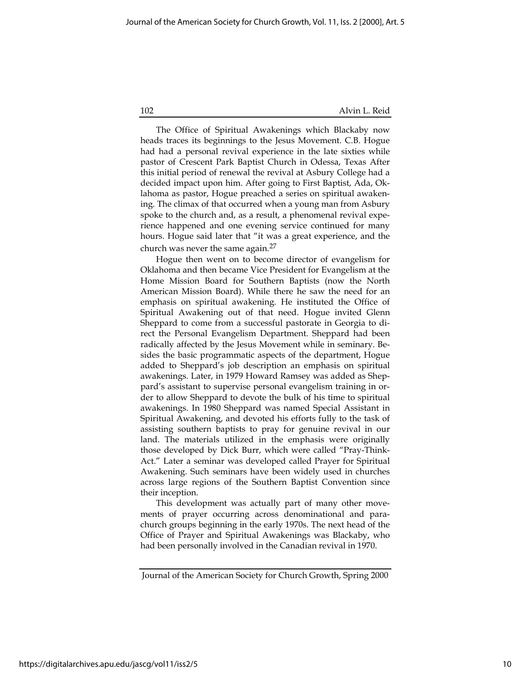The Office of Spiritual Awakenings which Blackaby now heads traces its beginnings to the Jesus Movement. C.B. Hogue had had a personal revival experience in the late sixties while pastor of Crescent Park Baptist Church in Odessa, Texas After this initial period of renewal the revival at Asbury College had a decided impact upon him. After going to First Baptist, Ada, Oklahoma as pastor, Hogue preached a series on spiritual awakening. The climax of that occurred when a young man from Asbury spoke to the church and, as a result, a phenomenal revival experience happened and one evening service continued for many hours. Hogue said later that "it was a great experience, and the church was never the same again.27

Hogue then went on to become director of evangelism for Oklahoma and then became Vice President for Evangelism at the Home Mission Board for Southern Baptists (now the North American Mission Board). While there he saw the need for an emphasis on spiritual awakening. He instituted the Office of Spiritual Awakening out of that need. Hogue invited Glenn Sheppard to come from a successful pastorate in Georgia to direct the Personal Evangelism Department. Sheppard had been radically affected by the Jesus Movement while in seminary. Besides the basic programmatic aspects of the department, Hogue added to Sheppard's job description an emphasis on spiritual awakenings. Later, in 1979 Howard Ramsey was added as Sheppard's assistant to supervise personal evangelism training in order to allow Sheppard to devote the bulk of his time to spiritual awakenings. In 1980 Sheppard was named Special Assistant in Spiritual Awakening, and devoted his efforts fully to the task of assisting southern baptists to pray for genuine revival in our land. The materials utilized in the emphasis were originally those developed by Dick Burr, which were called "Pray-Think-Act." Later a seminar was developed called Prayer for Spiritual Awakening. Such seminars have been widely used in churches across large regions of the Southern Baptist Convention since their inception.

This development was actually part of many other movements of prayer occurring across denominational and parachurch groups beginning in the early 1970s. The next head of the Office of Prayer and Spiritual Awakenings was Blackaby, who had been personally involved in the Canadian revival in 1970.

Journal of the American Society for Church Growth, Spring 2000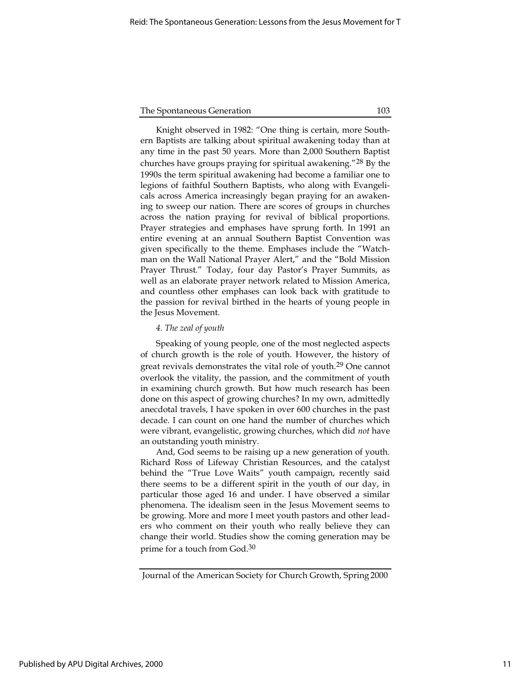Knight observed in 1982: "One thing is certain, more Southern Baptists are talking about spiritual awakening today than at any time in the past 50 years. More than 2,000 Southern Baptist churches have groups praying for spiritual awakening."28 By the 1990s the term spiritual awakening had become a familiar one to legions of faithful Southern Baptists, who along with Evangelicals across America increasingly began praying for an awakening to sweep our nation. There are scores of groups in churches across the nation praying for revival of biblical proportions. Prayer strategies and emphases have sprung forth. In 1991 an entire evening at an annual Southern Baptist Convention was given specifically to the theme. Emphases include the "Watchman on the Wall National Prayer Alert," and the "Bold Mission Prayer Thrust." Today, four day Pastor's Prayer Summits, as well as an elaborate prayer network related to Mission America, and countless other emphases can look back with gratitude to the passion for revival birthed in the hearts of young people in the Jesus Movement.

#### 4. The zeal of youth

Speaking of young people, one of the most neglected aspects of church growth is the role of youth. However, the history of great revivals demonstrates the vital role of youth.<sup>29</sup> One cannot overlook the vitality, the passion, and the commitment of youth in examining church growth. But how much research has been done on this aspect of growing churches? In my own, admittedly anecdotal travels, I have spoken in over 600 churches in the past decade. I can count on one hand the number of churches which were vibrant, evangelistic, growing churches, which did not have an outstanding youth ministry.

And, God seems to be raising up a new generation of youth. Richard Ross of Lifeway Christian Resources, and the catalyst behind the "True Love Waits" youth campaign, recently said there seems to be a different spirit in the youth of our day, in particular those aged 16 and under. I have observed a similar phenomena. The idealism seen in the Jesus Movement seems to be growing. More and more I meet youth pastors and other leaders who comment on their youth who really believe they can change their world. Studies show the coming generation may be prime for a touch from God.<sup>30</sup>

Journal of the American Society for Church Growth, Spring 2000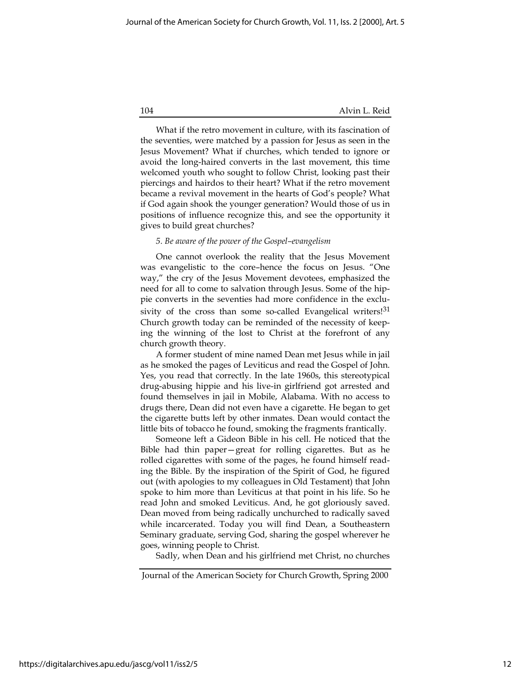What if the retro movement in culture, with its fascination of the seventies, were matched by a passion for Jesus as seen in the Jesus Movement? What if churches, which tended to ignore or avoid the long-haired converts in the last movement, this time welcomed youth who sought to follow Christ, looking past their piercings and hairdos to their heart? What if the retro movement became a revival movement in the hearts of God's people? What if God again shook the younger generation? Would those of us in positions of influence recognize this, and see the opportunity it gives to build great churches?

#### 5. Be aware of the power of the Gospel–evangelism

One cannot overlook the reality that the Jesus Movement was evangelistic to the core–hence the focus on Jesus. "One way," the cry of the Jesus Movement devotees, emphasized the need for all to come to salvation through Jesus. Some of the hippie converts in the seventies had more confidence in the exclusivity of the cross than some so-called Evangelical writers!<sup>31</sup> Church growth today can be reminded of the necessity of keeping the winning of the lost to Christ at the forefront of any church growth theory.

A former student of mine named Dean met Jesus while in jail as he smoked the pages of Leviticus and read the Gospel of John. Yes, you read that correctly. In the late 1960s, this stereotypical drug-abusing hippie and his live-in girlfriend got arrested and found themselves in jail in Mobile, Alabama. With no access to drugs there, Dean did not even have a cigarette. He began to get the cigarette butts left by other inmates. Dean would contact the little bits of tobacco he found, smoking the fragments frantically.

Someone left a Gideon Bible in his cell. He noticed that the Bible had thin paper—great for rolling cigarettes. But as he rolled cigarettes with some of the pages, he found himself reading the Bible. By the inspiration of the Spirit of God, he figured out (with apologies to my colleagues in Old Testament) that John spoke to him more than Leviticus at that point in his life. So he read John and smoked Leviticus. And, he got gloriously saved. Dean moved from being radically unchurched to radically saved while incarcerated. Today you will find Dean, a Southeastern Seminary graduate, serving God, sharing the gospel wherever he goes, winning people to Christ.

Sadly, when Dean and his girlfriend met Christ, no churches

Journal of the American Society for Church Growth, Spring 2000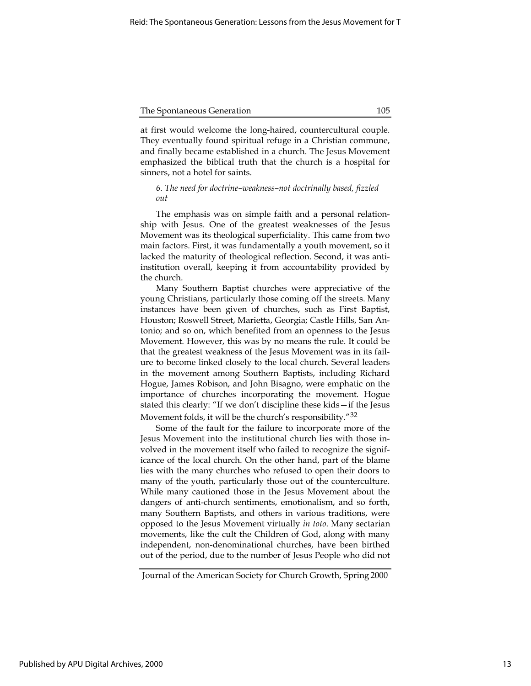at first would welcome the long-haired, countercultural couple. They eventually found spiritual refuge in a Christian commune, and finally became established in a church. The Jesus Movement emphasized the biblical truth that the church is a hospital for sinners, not a hotel for saints.

#### 6. The need for doctrine–weakness–not doctrinally based, fizzled out

The emphasis was on simple faith and a personal relationship with Jesus. One of the greatest weaknesses of the Jesus Movement was its theological superficiality. This came from two main factors. First, it was fundamentally a youth movement, so it lacked the maturity of theological reflection. Second, it was antiinstitution overall, keeping it from accountability provided by the church.

Many Southern Baptist churches were appreciative of the young Christians, particularly those coming off the streets. Many instances have been given of churches, such as First Baptist, Houston; Roswell Street, Marietta, Georgia; Castle Hills, San Antonio; and so on, which benefited from an openness to the Jesus Movement. However, this was by no means the rule. It could be that the greatest weakness of the Jesus Movement was in its failure to become linked closely to the local church. Several leaders in the movement among Southern Baptists, including Richard Hogue, James Robison, and John Bisagno, were emphatic on the importance of churches incorporating the movement. Hogue stated this clearly: "If we don't discipline these kids—if the Jesus Movement folds, it will be the church's responsibility."<sup>32</sup>

Some of the fault for the failure to incorporate more of the Jesus Movement into the institutional church lies with those involved in the movement itself who failed to recognize the significance of the local church. On the other hand, part of the blame lies with the many churches who refused to open their doors to many of the youth, particularly those out of the counterculture. While many cautioned those in the Jesus Movement about the dangers of anti-church sentiments, emotionalism, and so forth, many Southern Baptists, and others in various traditions, were opposed to the Jesus Movement virtually in toto. Many sectarian movements, like the cult the Children of God, along with many independent, non-denominational churches, have been birthed out of the period, due to the number of Jesus People who did not

Journal of the American Society for Church Growth, Spring 2000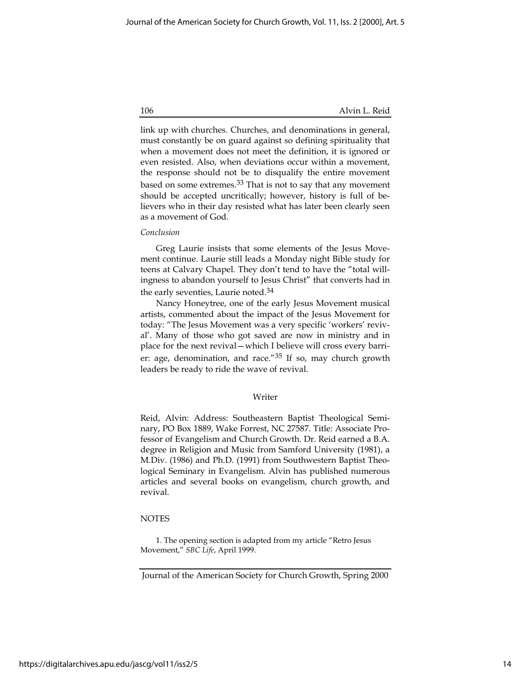link up with churches. Churches, and denominations in general, must constantly be on guard against so defining spirituality that when a movement does not meet the definition, it is ignored or even resisted. Also, when deviations occur within a movement, the response should not be to disqualify the entire movement based on some extremes.<sup>33</sup> That is not to say that any movement should be accepted uncritically; however, history is full of believers who in their day resisted what has later been clearly seen as a movement of God.

#### Conclusion

Greg Laurie insists that some elements of the Jesus Movement continue. Laurie still leads a Monday night Bible study for teens at Calvary Chapel. They don't tend to have the "total willingness to abandon yourself to Jesus Christ" that converts had in the early seventies, Laurie noted.34

Nancy Honeytree, one of the early Jesus Movement musical artists, commented about the impact of the Jesus Movement for today: "The Jesus Movement was a very specific 'workers' revival'. Many of those who got saved are now in ministry and in place for the next revival—which I believe will cross every barrier: age, denomination, and race."35 If so, may church growth leaders be ready to ride the wave of revival.

#### Writer

Reid, Alvin: Address: Southeastern Baptist Theological Seminary, PO Box 1889, Wake Forrest, NC 27587. Title: Associate Professor of Evangelism and Church Growth. Dr. Reid earned a B.A. degree in Religion and Music from Samford University (1981), a M.Div. (1986) and Ph.D. (1991) from Southwestern Baptist Theological Seminary in Evangelism. Alvin has published numerous articles and several books on evangelism, church growth, and revival.

#### NOTES

1. The opening section is adapted from my article "Retro Jesus Movement," SBC Life, April 1999.

Journal of the American Society for Church Growth, Spring 2000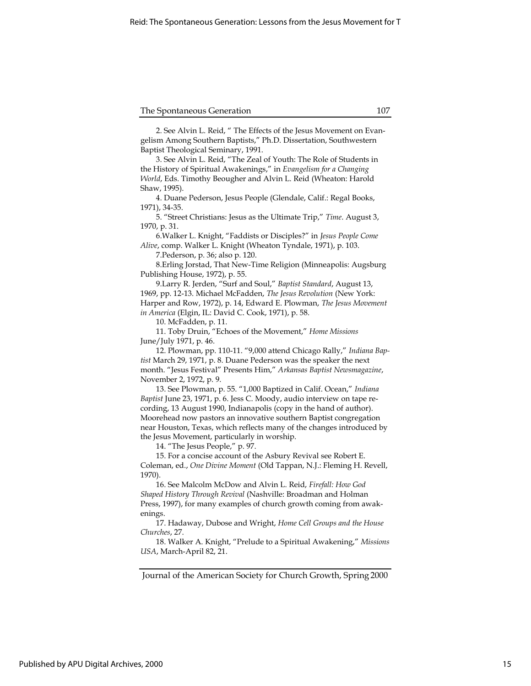2. See Alvin L. Reid, " The Effects of the Jesus Movement on Evangelism Among Southern Baptists," Ph.D. Dissertation, Southwestern Baptist Theological Seminary, 1991.

3. See Alvin L. Reid, "The Zeal of Youth: The Role of Students in the History of Spiritual Awakenings," in Evangelism for a Changing World, Eds. Timothy Beougher and Alvin L. Reid (Wheaton: Harold Shaw, 1995).

4. Duane Pederson, Jesus People (Glendale, Calif.: Regal Books, 1971), 34-35.

5. "Street Christians: Jesus as the Ultimate Trip," Time. August 3, 1970, p. 31.

6.Walker L. Knight, "Faddists or Disciples?" in Jesus People Come Alive, comp. Walker L. Knight (Wheaton Tyndale, 1971), p. 103.

7.Pederson, p. 36; also p. 120.

8.Erling Jorstad, That New-Time Religion (Minneapolis: Augsburg Publishing House, 1972), p. 55.

9.Larry R. Jerden, "Surf and Soul," Baptist Standard, August 13, 1969, pp. 12-13. Michael McFadden, The Jesus Revolution (New York: Harper and Row, 1972), p. 14, Edward E. Plowman, The Jesus Movement in America (Elgin, IL: David C. Cook, 1971), p. 58.

10. McFadden, p. 11.

11. Toby Druin, "Echoes of the Movement," Home Missions June/July 1971, p. 46.

12. Plowman, pp. 110-11. "9,000 attend Chicago Rally," Indiana Baptist March 29, 1971, p. 8. Duane Pederson was the speaker the next month. "Jesus Festival" Presents Him," Arkansas Baptist Newsmagazine, November 2, 1972, p. 9.

13. See Plowman, p. 55. "1,000 Baptized in Calif. Ocean," Indiana Baptist June 23, 1971, p. 6. Jess C. Moody, audio interview on tape recording, 13 August 1990, Indianapolis (copy in the hand of author). Moorehead now pastors an innovative southern Baptist congregation near Houston, Texas, which reflects many of the changes introduced by the Jesus Movement, particularly in worship.

14. "The Jesus People," p. 97.

15. For a concise account of the Asbury Revival see Robert E. Coleman, ed., One Divine Moment (Old Tappan, N.J.: Fleming H. Revell, 1970).

16. See Malcolm McDow and Alvin L. Reid, Firefall: How God Shaped History Through Revival (Nashville: Broadman and Holman Press, 1997), for many examples of church growth coming from awakenings.

17. Hadaway, Dubose and Wright, Home Cell Groups and the House Churches, 27.

18. Walker A. Knight, "Prelude to a Spiritual Awakening," Missions USA, March-April 82, 21.

Journal of the American Society for Church Growth, Spring 2000